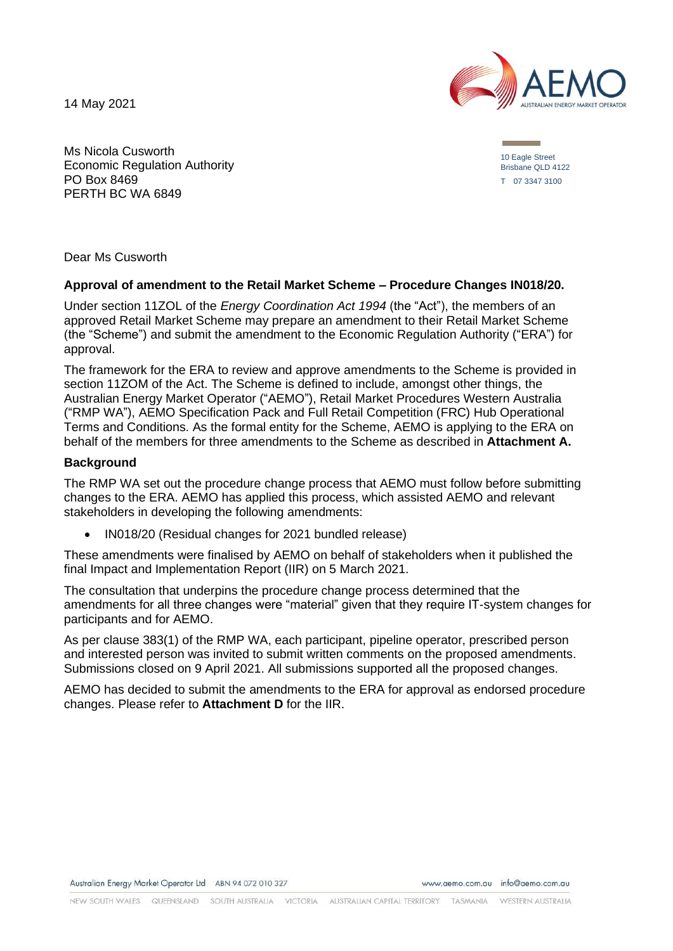14 May 2021



Ms Nicola Cusworth Economic Regulation Authority PO Box 8469 PERTH BC WA 6849

10 Eagle Street Brisbane QLD 4122 T 07 3347 3100

Dear Ms Cusworth

#### **Approval of amendment to the Retail Market Scheme – Procedure Changes IN018/20.**

Under section 11ZOL of the *Energy Coordination Act 1994* (the "Act"), the members of an approved Retail Market Scheme may prepare an amendment to their Retail Market Scheme (the "Scheme") and submit the amendment to the Economic Regulation Authority ("ERA") for approval.

The framework for the ERA to review and approve amendments to the Scheme is provided in section 11ZOM of the Act. The Scheme is defined to include, amongst other things, the Australian Energy Market Operator ("AEMO"), Retail Market Procedures Western Australia ("RMP WA"), AEMO Specification Pack and Full Retail Competition (FRC) Hub Operational Terms and Conditions. As the formal entity for the Scheme, AEMO is applying to the ERA on behalf of the members for three amendments to the Scheme as described in **Attachment A.**

#### **Background**

The RMP WA set out the procedure change process that AEMO must follow before submitting changes to the ERA. AEMO has applied this process, which assisted AEMO and relevant stakeholders in developing the following amendments:

• IN018/20 (Residual changes for 2021 bundled release)

These amendments were finalised by AEMO on behalf of stakeholders when it published the final Impact and Implementation Report (IIR) on 5 March 2021.

The consultation that underpins the procedure change process determined that the amendments for all three changes were "material" given that they require IT-system changes for participants and for AEMO.

As per clause 383(1) of the RMP WA, each participant, pipeline operator, prescribed person and interested person was invited to submit written comments on the proposed amendments. Submissions closed on 9 April 2021. All submissions supported all the proposed changes.

AEMO has decided to submit the amendments to the ERA for approval as endorsed procedure changes. Please refer to **Attachment D** for the IIR.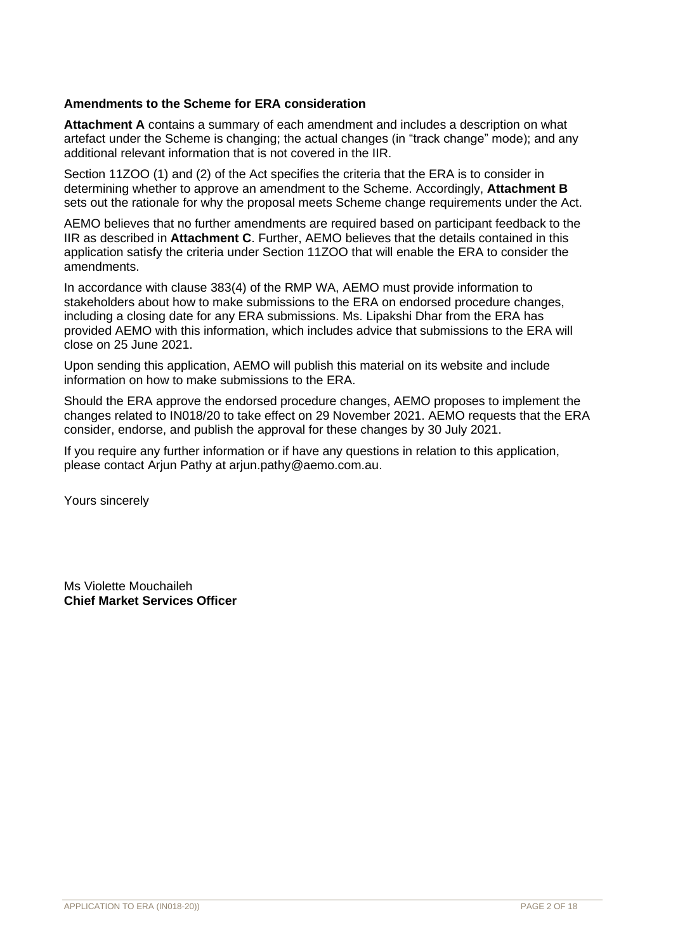#### **Amendments to the Scheme for ERA consideration**

**Attachment A** contains a summary of each amendment and includes a description on what artefact under the Scheme is changing; the actual changes (in "track change" mode); and any additional relevant information that is not covered in the IIR.

Section 11ZOO (1) and (2) of the Act specifies the criteria that the ERA is to consider in determining whether to approve an amendment to the Scheme. Accordingly, **Attachment B** sets out the rationale for why the proposal meets Scheme change requirements under the Act.

AEMO believes that no further amendments are required based on participant feedback to the IIR as described in **Attachment C**. Further, AEMO believes that the details contained in this application satisfy the criteria under Section 11ZOO that will enable the ERA to consider the amendments.

In accordance with clause 383(4) of the RMP WA, AEMO must provide information to stakeholders about how to make submissions to the ERA on endorsed procedure changes, including a closing date for any ERA submissions. Ms. Lipakshi Dhar from the ERA has provided AEMO with this information, which includes advice that submissions to the ERA will close on 25 June 2021.

Upon sending this application, AEMO will publish this material on its website and include information on how to make submissions to the ERA.

Should the ERA approve the endorsed procedure changes, AEMO proposes to implement the changes related to IN018/20 to take effect on 29 November 2021. AEMO requests that the ERA consider, endorse, and publish the approval for these changes by 30 July 2021.

If you require any further information or if have any questions in relation to this application, please contact Arjun Pathy at arjun.pathy@aemo.com.au.

Yours sincerely

Ms Violette Mouchaileh **Chief Market Services Officer**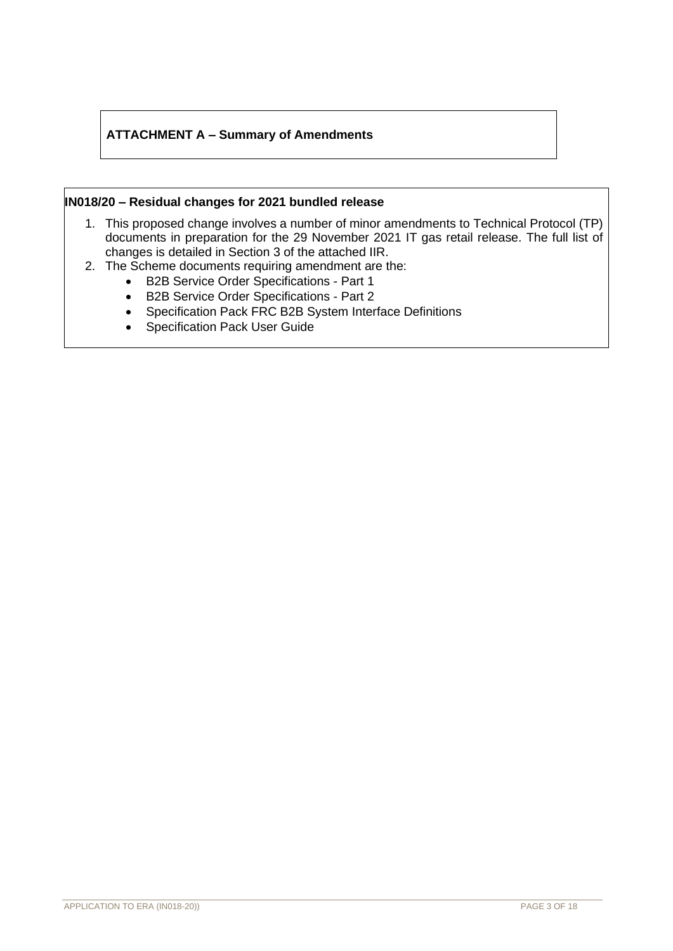## **ATTACHMENT A – Summary of Amendments**

#### **IN018/20 – Residual changes for 2021 bundled release**

- 1. This proposed change involves a number of minor amendments to Technical Protocol (TP) documents in preparation for the 29 November 2021 IT gas retail release. The full list of changes is detailed in Section 3 of the attached IIR.
- 2. The Scheme documents requiring amendment are the:
	- B2B Service Order Specifications Part 1
	- B2B Service Order Specifications Part 2
	- Specification Pack FRC B2B System Interface Definitions
	- Specification Pack User Guide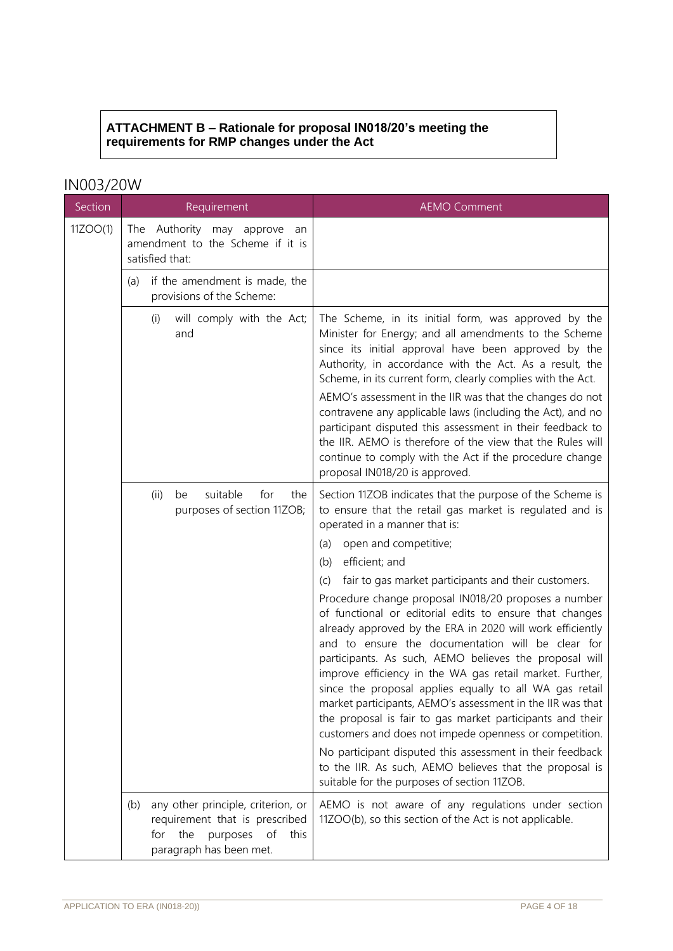## **ATTACHMENT B – Rationale for proposal IN018/20's meeting the requirements for RMP changes under the Act**

# IN003/20W

| Section  | Requirement                                                                                                                                    | <b>AEMO Comment</b>                                                                                                                                                                                                                                                                                                                                                                                                                                                                                                                                                                                                                                                                                                                 |  |
|----------|------------------------------------------------------------------------------------------------------------------------------------------------|-------------------------------------------------------------------------------------------------------------------------------------------------------------------------------------------------------------------------------------------------------------------------------------------------------------------------------------------------------------------------------------------------------------------------------------------------------------------------------------------------------------------------------------------------------------------------------------------------------------------------------------------------------------------------------------------------------------------------------------|--|
| 11ZOO(1) | The Authority may approve<br>an<br>amendment to the Scheme if it is<br>satisfied that:                                                         |                                                                                                                                                                                                                                                                                                                                                                                                                                                                                                                                                                                                                                                                                                                                     |  |
|          | if the amendment is made, the<br>(a)<br>provisions of the Scheme:                                                                              |                                                                                                                                                                                                                                                                                                                                                                                                                                                                                                                                                                                                                                                                                                                                     |  |
|          | will comply with the Act;<br>(i)<br>and                                                                                                        | The Scheme, in its initial form, was approved by the<br>Minister for Energy; and all amendments to the Scheme<br>since its initial approval have been approved by the<br>Authority, in accordance with the Act. As a result, the<br>Scheme, in its current form, clearly complies with the Act.<br>AEMO's assessment in the IIR was that the changes do not<br>contravene any applicable laws (including the Act), and no<br>participant disputed this assessment in their feedback to<br>the IIR. AEMO is therefore of the view that the Rules will<br>continue to comply with the Act if the procedure change<br>proposal IN018/20 is approved.                                                                                   |  |
|          | suitable<br>for<br>(ii)<br>be<br>the<br>purposes of section 11ZOB;                                                                             | Section 11ZOB indicates that the purpose of the Scheme is<br>to ensure that the retail gas market is regulated and is<br>operated in a manner that is:                                                                                                                                                                                                                                                                                                                                                                                                                                                                                                                                                                              |  |
|          |                                                                                                                                                | open and competitive;<br>(a)                                                                                                                                                                                                                                                                                                                                                                                                                                                                                                                                                                                                                                                                                                        |  |
|          |                                                                                                                                                | efficient; and<br>(b)                                                                                                                                                                                                                                                                                                                                                                                                                                                                                                                                                                                                                                                                                                               |  |
|          |                                                                                                                                                | fair to gas market participants and their customers.<br>(C)<br>Procedure change proposal IN018/20 proposes a number<br>of functional or editorial edits to ensure that changes<br>already approved by the ERA in 2020 will work efficiently<br>and to ensure the documentation will be clear for<br>participants. As such, AEMO believes the proposal will<br>improve efficiency in the WA gas retail market. Further,<br>since the proposal applies equally to all WA gas retail<br>market participants, AEMO's assessment in the IIR was that<br>the proposal is fair to gas market participants and their<br>customers and does not impede openness or competition.<br>No participant disputed this assessment in their feedback |  |
|          |                                                                                                                                                | to the IIR. As such, AEMO believes that the proposal is<br>suitable for the purposes of section 11ZOB.                                                                                                                                                                                                                                                                                                                                                                                                                                                                                                                                                                                                                              |  |
|          | any other principle, criterion, or<br>(b)<br>requirement that is prescribed<br>the<br>purposes<br>of<br>this<br>for<br>paragraph has been met. | AEMO is not aware of any regulations under section<br>11ZOO(b), so this section of the Act is not applicable.                                                                                                                                                                                                                                                                                                                                                                                                                                                                                                                                                                                                                       |  |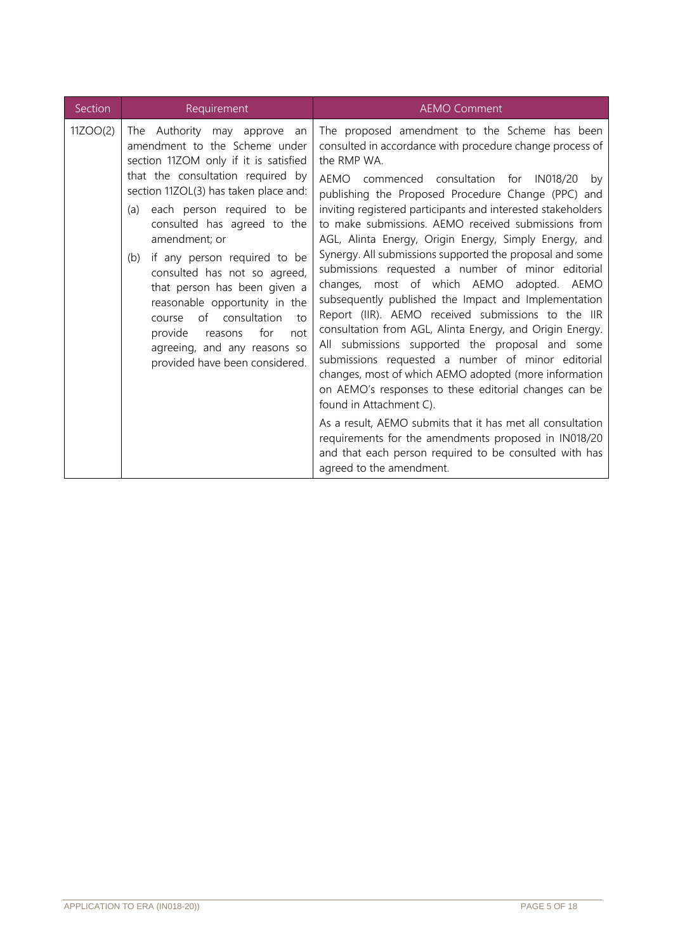| Section  | Requirement                                                                                                                                                                                                                                                                                                                                                                                                                                                                                                                                                | <b>AEMO Comment</b>                                                                                                                                                                                                                                                                                                                                                                                                                                                                                                                                                                                                                                                                                                                                                                                                                                                                                                                                                                                                                                                                                                                                                                                                       |  |  |
|----------|------------------------------------------------------------------------------------------------------------------------------------------------------------------------------------------------------------------------------------------------------------------------------------------------------------------------------------------------------------------------------------------------------------------------------------------------------------------------------------------------------------------------------------------------------------|---------------------------------------------------------------------------------------------------------------------------------------------------------------------------------------------------------------------------------------------------------------------------------------------------------------------------------------------------------------------------------------------------------------------------------------------------------------------------------------------------------------------------------------------------------------------------------------------------------------------------------------------------------------------------------------------------------------------------------------------------------------------------------------------------------------------------------------------------------------------------------------------------------------------------------------------------------------------------------------------------------------------------------------------------------------------------------------------------------------------------------------------------------------------------------------------------------------------------|--|--|
| 11ZOO(2) | The Authority may approve<br>an<br>amendment to the Scheme under<br>section 11ZOM only if it is satisfied<br>that the consultation required by<br>section 11ZOL(3) has taken place and:<br>(a) each person required to be<br>consulted has agreed to the<br>amendment; or<br>if any person required to be<br>(b)<br>consulted has not so agreed,<br>that person has been given a<br>reasonable opportunity in the<br>of consultation<br>to<br>course<br>provide<br>for<br>not<br>reasons<br>agreeing, and any reasons so<br>provided have been considered. | The proposed amendment to the Scheme has been<br>consulted in accordance with procedure change process of<br>the RMP WA.<br>AEMO commenced consultation for IN018/20<br>by<br>publishing the Proposed Procedure Change (PPC) and<br>inviting registered participants and interested stakeholders<br>to make submissions. AEMO received submissions from<br>AGL, Alinta Energy, Origin Energy, Simply Energy, and<br>Synergy. All submissions supported the proposal and some<br>submissions requested a number of minor editorial<br>changes, most of which AEMO adopted. AEMO<br>subsequently published the Impact and Implementation<br>Report (IIR). AEMO received submissions to the IIR<br>consultation from AGL, Alinta Energy, and Origin Energy.<br>All submissions supported the proposal and some<br>submissions requested a number of minor editorial<br>changes, most of which AEMO adopted (more information<br>on AEMO's responses to these editorial changes can be<br>found in Attachment C).<br>As a result, AEMO submits that it has met all consultation<br>requirements for the amendments proposed in IN018/20<br>and that each person required to be consulted with has<br>agreed to the amendment. |  |  |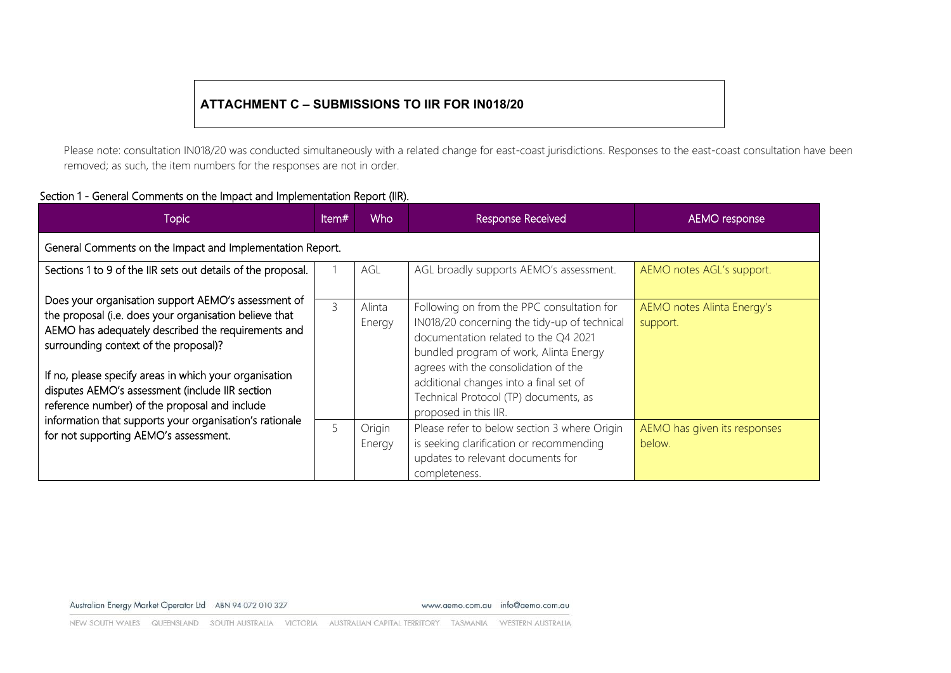## **ATTACHMENT C – SUBMISSIONS TO IIR FOR IN018/20**

Please note: consultation IN018/20 was conducted simultaneously with a related change for east-coast jurisdictions. Responses to the east-coast consultation have been removed; as such, the item numbers for the responses are not in order.

#### Section 1 - General Comments on the Impact and Implementation Report (IIR).

| Topic                                                                                                                                                                                                                                                                                                                                                                      | ltem# | Who              | Response Received                                                                                                                                                                                                                                                                                                                | AEMO response                          |  |  |  |
|----------------------------------------------------------------------------------------------------------------------------------------------------------------------------------------------------------------------------------------------------------------------------------------------------------------------------------------------------------------------------|-------|------------------|----------------------------------------------------------------------------------------------------------------------------------------------------------------------------------------------------------------------------------------------------------------------------------------------------------------------------------|----------------------------------------|--|--|--|
| General Comments on the Impact and Implementation Report.                                                                                                                                                                                                                                                                                                                  |       |                  |                                                                                                                                                                                                                                                                                                                                  |                                        |  |  |  |
| Sections 1 to 9 of the IIR sets out details of the proposal.                                                                                                                                                                                                                                                                                                               |       | AGL              | AGL broadly supports AEMO's assessment.                                                                                                                                                                                                                                                                                          | AEMO notes AGL's support.              |  |  |  |
| Does your organisation support AEMO's assessment of<br>the proposal (i.e. does your organisation believe that<br>AEMO has adequately described the requirements and<br>surrounding context of the proposal)?<br>If no, please specify areas in which your organisation<br>disputes AEMO's assessment (include IIR section<br>reference number) of the proposal and include | 3     | Alinta<br>Energy | Following on from the PPC consultation for<br>IN018/20 concerning the tidy-up of technical<br>documentation related to the Q4 2021<br>bundled program of work, Alinta Energy<br>agrees with the consolidation of the<br>additional changes into a final set of<br>Technical Protocol (TP) documents, as<br>proposed in this IIR. | AEMO notes Alinta Energy's<br>support. |  |  |  |
| information that supports your organisation's rationale<br>for not supporting AEMO's assessment.                                                                                                                                                                                                                                                                           | 5     | Origin<br>Energy | Please refer to below section 3 where Origin<br>is seeking clarification or recommending<br>updates to relevant documents for<br>completeness.                                                                                                                                                                                   | AEMO has given its responses<br>below. |  |  |  |

www.aemo.com.au info@aemo.com.au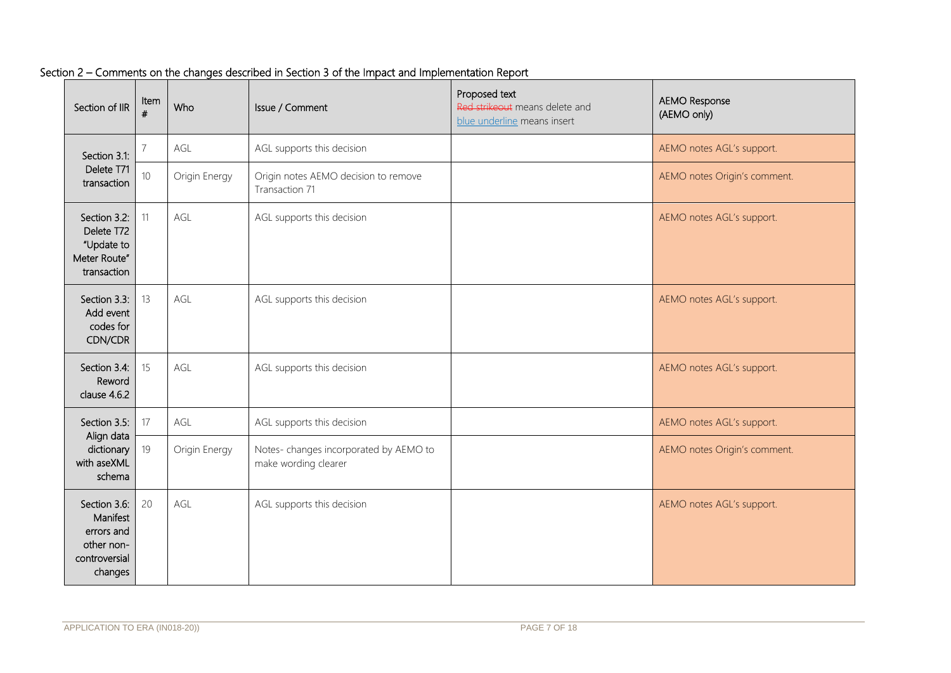| Section of IIR                                                                   | Item<br>#       | Who           | Issue / Comment                                               | Proposed text<br>Red strikeout means delete and<br>blue underline means insert | <b>AEMO Response</b><br>(AEMO only) |
|----------------------------------------------------------------------------------|-----------------|---------------|---------------------------------------------------------------|--------------------------------------------------------------------------------|-------------------------------------|
| Section 3.1:                                                                     |                 | AGL           | AGL supports this decision                                    |                                                                                | AEMO notes AGL's support.           |
| Delete T71<br>transaction                                                        | 10 <sup>°</sup> | Origin Energy | Origin notes AEMO decision to remove<br>Transaction 71        |                                                                                | AEMO notes Origin's comment.        |
| Section 3.2:<br>Delete T72<br>"Update to<br>Meter Route"<br>transaction          | 11              | AGL           | AGL supports this decision                                    |                                                                                | AEMO notes AGL's support.           |
| Section 3.3:<br>Add event<br>codes for<br>CDN/CDR                                | 13              | AGL           | AGL supports this decision                                    |                                                                                | AEMO notes AGL's support.           |
| Section 3.4:<br>Reword<br>clause 4.6.2                                           | 15              | AGL           | AGL supports this decision                                    |                                                                                | AEMO notes AGL's support.           |
| Section 3.5:                                                                     | 17              | AGL           | AGL supports this decision                                    |                                                                                | AEMO notes AGL's support.           |
| Align data<br>dictionary<br>with aseXML<br>schema                                | 19              | Origin Energy | Notes-changes incorporated by AEMO to<br>make wording clearer |                                                                                | AEMO notes Origin's comment.        |
| Section 3.6:<br>Manifest<br>errors and<br>other non-<br>controversial<br>changes | 20              | AGL           | AGL supports this decision                                    |                                                                                | AEMO notes AGL's support.           |

## Section 2 – Comments on the changes described in Section 3 of the Impact and Implementation Report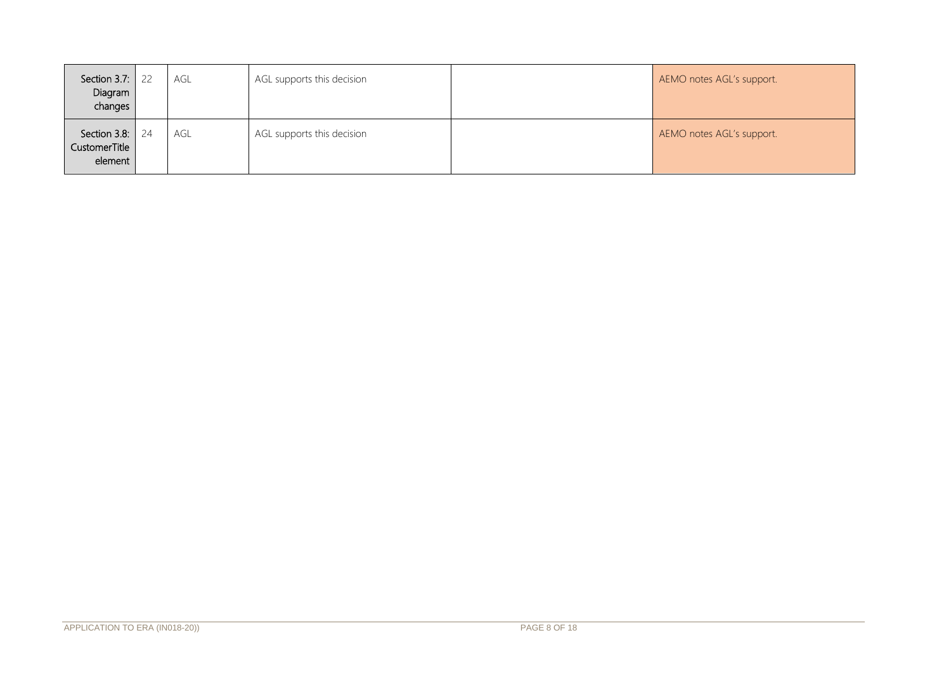| Section 3.7:<br>Diagram<br>changes       | 22 | agl | AGL supports this decision | AEMO notes AGL's support. |
|------------------------------------------|----|-----|----------------------------|---------------------------|
| Section 3.8:<br>CustomerTitle<br>element | 24 | AGL | AGL supports this decision | AEMO notes AGL's support. |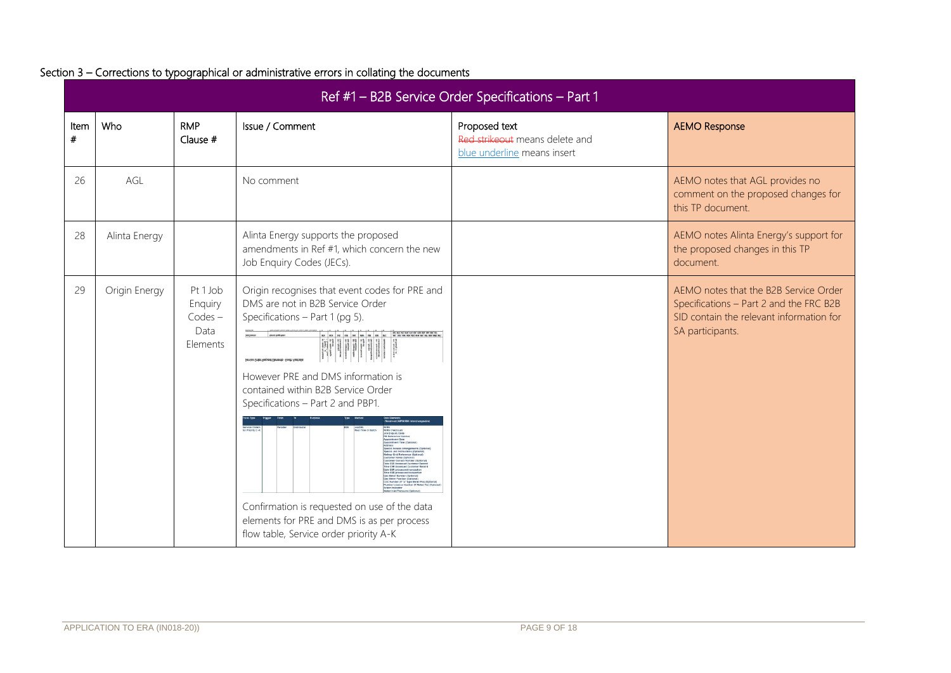|              | Ref #1 - B2B Service Order Specifications - Part 1 |                                                      |                                                                                                                                                                           |                                                                                |                                                                                                                                                  |  |  |
|--------------|----------------------------------------------------|------------------------------------------------------|---------------------------------------------------------------------------------------------------------------------------------------------------------------------------|--------------------------------------------------------------------------------|--------------------------------------------------------------------------------------------------------------------------------------------------|--|--|
| Item<br>$\#$ | Who                                                | <b>RMP</b><br>Clause #                               | Issue / Comment                                                                                                                                                           | Proposed text<br>Red strikeout means delete and<br>blue underline means insert | <b>AEMO Response</b>                                                                                                                             |  |  |
| 26           | AGL                                                |                                                      | No comment                                                                                                                                                                |                                                                                | AEMO notes that AGL provides no<br>comment on the proposed changes for<br>this TP document.                                                      |  |  |
| 28           | Alinta Energy                                      |                                                      | Alinta Energy supports the proposed<br>amendments in Ref #1, which concern the new<br>Job Enquiry Codes (JECs).                                                           |                                                                                | AEMO notes Alinta Energy's support for<br>the proposed changes in this TP<br>document.                                                           |  |  |
| 29           | Origin Energy                                      | Pt 1 Job<br>Enquiry<br>$Codes -$<br>Data<br>Elements | Origin recognises that event codes for PRE and<br>DMS are not in B2B Service Order<br>Specifications - Part 1 (pg 5).<br>Service Order Request Elements - South Australia |                                                                                | AEMO notes that the B2B Service Order<br>Specifications - Part 2 and the FRC B2B<br>SID contain the relevant information for<br>SA participants. |  |  |
|              |                                                    |                                                      | However PRE and DMS information is<br>contained within B2B Service Order<br>Specifications - Part 2 and PBP1.                                                             |                                                                                |                                                                                                                                                  |  |  |
|              |                                                    |                                                      |                                                                                                                                                                           |                                                                                |                                                                                                                                                  |  |  |
|              |                                                    |                                                      | Confirmation is requested on use of the data<br>elements for PRE and DMS is as per process<br>flow table, Service order priority A-K                                      |                                                                                |                                                                                                                                                  |  |  |

### Section 3 – Corrections to typographical or administrative errors in collating the documents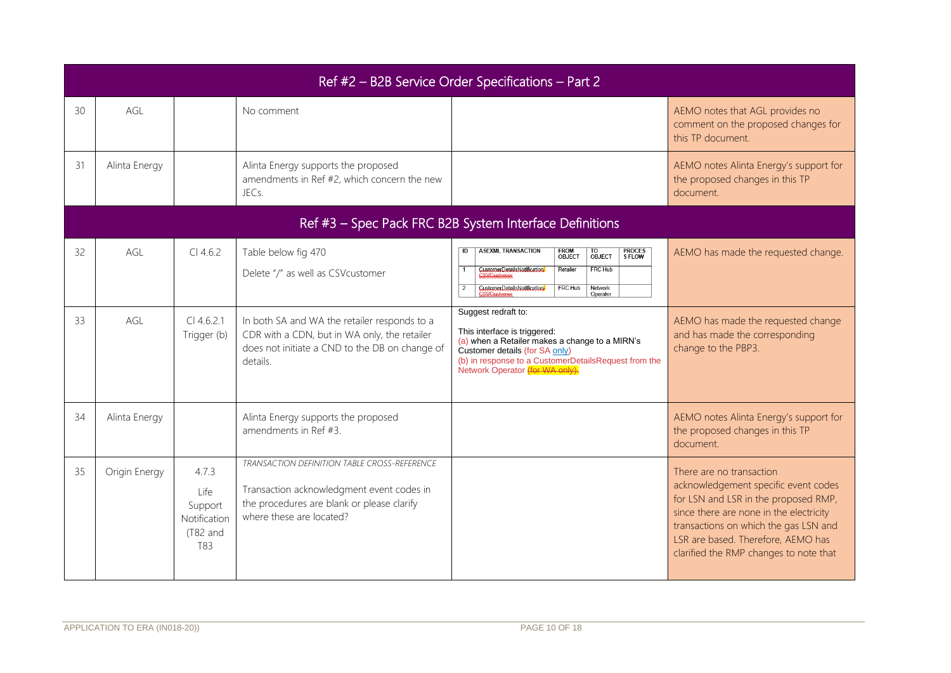|    | Ref #2 - B2B Service Order Specifications - Part 2 |                                                             |                                                                                                                                                                     |                                                                                                                                                                                                                                    |                                                                                                                                                                                                                                                                              |  |  |  |
|----|----------------------------------------------------|-------------------------------------------------------------|---------------------------------------------------------------------------------------------------------------------------------------------------------------------|------------------------------------------------------------------------------------------------------------------------------------------------------------------------------------------------------------------------------------|------------------------------------------------------------------------------------------------------------------------------------------------------------------------------------------------------------------------------------------------------------------------------|--|--|--|
| 30 | AGL                                                |                                                             | No comment                                                                                                                                                          |                                                                                                                                                                                                                                    | AEMO notes that AGL provides no<br>comment on the proposed changes for<br>this TP document.                                                                                                                                                                                  |  |  |  |
| 31 | Alinta Energy                                      |                                                             | Alinta Energy supports the proposed<br>amendments in Ref #2, which concern the new<br>JEC <sub>S</sub>                                                              |                                                                                                                                                                                                                                    | AEMO notes Alinta Energy's support for<br>the proposed changes in this TP<br>document.                                                                                                                                                                                       |  |  |  |
|    |                                                    |                                                             |                                                                                                                                                                     | Ref #3 - Spec Pack FRC B2B System Interface Definitions                                                                                                                                                                            |                                                                                                                                                                                                                                                                              |  |  |  |
| 32 | AGL                                                | $Cl$ 4.6.2                                                  | Table below fig 470<br>Delete "/" as well as CSVcustomer                                                                                                            | <b>ASEXML TRANSACTION</b><br>PROCES<br>S FLOW<br>FROM<br>OBJECT<br>TO<br>OBJECT<br>FRC Hub<br>Retailer<br>CustomerDetailsNotification<br><b>FRC Hub</b><br>Network<br>CustomerDetailsNotification/<br>Operator                     | AEMO has made the requested change.                                                                                                                                                                                                                                          |  |  |  |
| 33 | AGL                                                | $Cl$ 4.6.2.1<br>Trigger (b)                                 | In both SA and WA the retailer responds to a<br>CDR with a CDN, but in WA only, the retailer<br>does not initiate a CND to the DB on change of<br>details.          | Suggest redraft to:<br>This interface is triggered:<br>(a) when a Retailer makes a change to a MIRN's<br>Customer details (for SA only)<br>(b) in response to a CustomerDetailsRequest from the<br>Network Operator (for WA only). | AEMO has made the requested change<br>and has made the corresponding<br>change to the PBP3.                                                                                                                                                                                  |  |  |  |
| 34 | Alinta Energy                                      |                                                             | Alinta Energy supports the proposed<br>amendments in Ref #3.                                                                                                        |                                                                                                                                                                                                                                    | AEMO notes Alinta Energy's support for<br>the proposed changes in this TP<br>document.                                                                                                                                                                                       |  |  |  |
| 35 | Origin Energy                                      | 4.7.3<br>Life<br>Support<br>Notification<br>(T82 and<br>T83 | TRANSACTION DEFINITION TABLE CROSS-REFERENCE<br>Transaction acknowledgment event codes in<br>the procedures are blank or please clarify<br>where these are located? |                                                                                                                                                                                                                                    | There are no transaction<br>acknowledgement specific event codes<br>for LSN and LSR in the proposed RMP,<br>since there are none in the electricity<br>transactions on which the gas LSN and<br>LSR are based. Therefore, AEMO has<br>clarified the RMP changes to note that |  |  |  |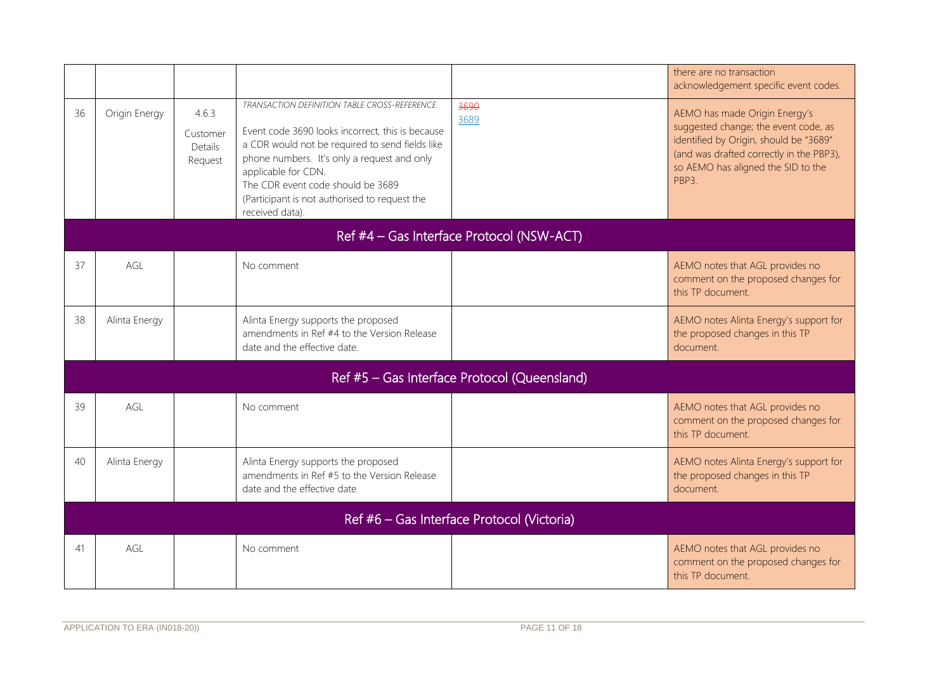|    |                                            |                                         |                                                                                                                                                                                                                                                                                                                                    |                                              | there are no transaction<br>acknowledgement specific event codes.                                                                                                                                                     |  |  |
|----|--------------------------------------------|-----------------------------------------|------------------------------------------------------------------------------------------------------------------------------------------------------------------------------------------------------------------------------------------------------------------------------------------------------------------------------------|----------------------------------------------|-----------------------------------------------------------------------------------------------------------------------------------------------------------------------------------------------------------------------|--|--|
| 36 | Origin Energy                              | 4.6.3<br>Customer<br>Details<br>Request | TRANSACTION DEFINITION TABLE CROSS-REFERENCE<br>Event code 3690 looks incorrect, this is because<br>a CDR would not be required to send fields like<br>phone numbers. It's only a request and only<br>applicable for CDN.<br>The CDR event code should be 3689<br>(Participant is not authorised to request the<br>received data). | 3690<br>3689                                 | AEMO has made Origin Energy's<br>suggested change; the event code, as<br>identified by Origin, should be "3689"<br>(and was drafted correctly in the PBP3),<br>so AEMO has aligned the SID to the<br>PBP <sub>3</sub> |  |  |
|    | Ref #4 - Gas Interface Protocol (NSW-ACT)  |                                         |                                                                                                                                                                                                                                                                                                                                    |                                              |                                                                                                                                                                                                                       |  |  |
| 37 | AGL                                        |                                         | No comment                                                                                                                                                                                                                                                                                                                         |                                              | AEMO notes that AGL provides no<br>comment on the proposed changes for<br>this TP document.                                                                                                                           |  |  |
| 38 | Alinta Energy                              |                                         | Alinta Energy supports the proposed<br>amendments in Ref #4 to the Version Release<br>date and the effective date.                                                                                                                                                                                                                 |                                              | AEMO notes Alinta Energy's support for<br>the proposed changes in this TP<br>document.                                                                                                                                |  |  |
|    |                                            |                                         |                                                                                                                                                                                                                                                                                                                                    | Ref #5 - Gas Interface Protocol (Queensland) |                                                                                                                                                                                                                       |  |  |
| 39 | AGL                                        |                                         | No comment                                                                                                                                                                                                                                                                                                                         |                                              | AEMO notes that AGL provides no<br>comment on the proposed changes for<br>this TP document.                                                                                                                           |  |  |
| 40 | Alinta Energy                              |                                         | Alinta Energy supports the proposed<br>amendments in Ref #5 to the Version Release<br>date and the effective date                                                                                                                                                                                                                  |                                              | AEMO notes Alinta Energy's support for<br>the proposed changes in this TP<br>document.                                                                                                                                |  |  |
|    | Ref #6 - Gas Interface Protocol (Victoria) |                                         |                                                                                                                                                                                                                                                                                                                                    |                                              |                                                                                                                                                                                                                       |  |  |
| 41 | AGL                                        |                                         | No comment                                                                                                                                                                                                                                                                                                                         |                                              | AEMO notes that AGL provides no<br>comment on the proposed changes for<br>this TP document.                                                                                                                           |  |  |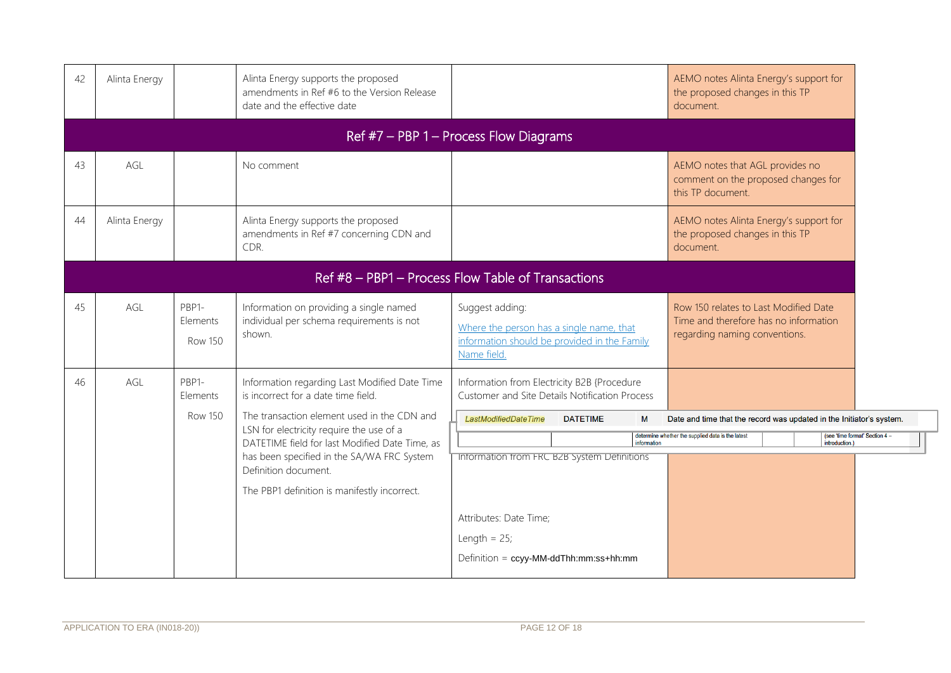| 42 | Alinta Energy                            |                                     | Alinta Energy supports the proposed<br>amendments in Ref #6 to the Version Release<br>date and the effective date                   |                                                                                                                            | AEMO notes Alinta Energy's support for<br>the proposed changes in this TP<br>document.                                                      |                                |  |  |  |
|----|------------------------------------------|-------------------------------------|-------------------------------------------------------------------------------------------------------------------------------------|----------------------------------------------------------------------------------------------------------------------------|---------------------------------------------------------------------------------------------------------------------------------------------|--------------------------------|--|--|--|
|    | Ref $#7$ – PBP 1 – Process Flow Diagrams |                                     |                                                                                                                                     |                                                                                                                            |                                                                                                                                             |                                |  |  |  |
| 43 | AGL                                      |                                     | No comment                                                                                                                          |                                                                                                                            | AEMO notes that AGL provides no<br>comment on the proposed changes for<br>this TP document.                                                 |                                |  |  |  |
| 44 | Alinta Energy                            |                                     | Alinta Energy supports the proposed<br>amendments in Ref #7 concerning CDN and<br>CDR.                                              |                                                                                                                            | AEMO notes Alinta Energy's support for<br>the proposed changes in this TP<br>document.                                                      |                                |  |  |  |
|    |                                          |                                     |                                                                                                                                     | Ref #8 - PBP1 - Process Flow Table of Transactions                                                                         |                                                                                                                                             |                                |  |  |  |
| 45 | AGL                                      | PBP1-<br>Elements<br><b>Row 150</b> | Information on providing a single named<br>individual per schema requirements is not<br>shown.                                      | Suggest adding:<br>Where the person has a single name, that<br>information should be provided in the Family<br>Name field. | Row 150 relates to Last Modified Date<br>Time and therefore has no information<br>regarding naming conventions.                             |                                |  |  |  |
| 46 | AGL                                      | PBP1-<br>Elements<br>Row 150        | Information regarding Last Modified Date Time<br>is incorrect for a date time field.<br>The transaction element used in the CDN and | Information from Electricity B2B {Procedure<br>Customer and Site Details Notification Process                              |                                                                                                                                             |                                |  |  |  |
|    |                                          |                                     | LSN for electricity require the use of a<br>DATETIME field for last Modified Date Time, as                                          | LastModifiedDateTime<br><b>DATETIME</b><br>M<br>information                                                                | Date and time that the record was updated in the Initiator's system.<br>determine whether the supplied data is the latest<br>introduction.) | (see 'time format' Section 4 - |  |  |  |
|    |                                          |                                     | has been specified in the SA/WA FRC System<br>Definition document.<br>The PBP1 definition is manifestly incorrect.                  | Intormation from FRC B2B System Definitions                                                                                |                                                                                                                                             |                                |  |  |  |
|    |                                          |                                     |                                                                                                                                     | Attributes: Date Time;                                                                                                     |                                                                                                                                             |                                |  |  |  |
|    |                                          |                                     |                                                                                                                                     | Length = $25$ ;                                                                                                            |                                                                                                                                             |                                |  |  |  |
|    |                                          |                                     |                                                                                                                                     | Definition = ccyy-MM-ddThh:mm:ss+hh:mm                                                                                     |                                                                                                                                             |                                |  |  |  |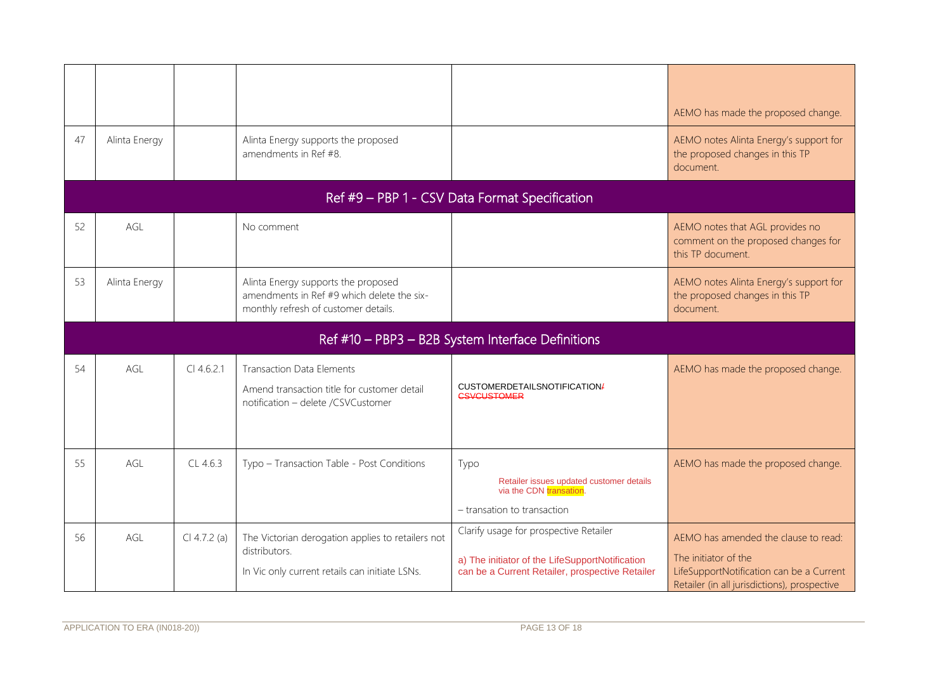| 47 | Alinta Energy                                  |                | Alinta Energy supports the proposed<br>amendments in Ref #8.                                                              |                                                                                                                                              | AEMO has made the proposed change.<br>AEMO notes Alinta Energy's support for<br>the proposed changes in this TP<br>document.                             |  |  |  |
|----|------------------------------------------------|----------------|---------------------------------------------------------------------------------------------------------------------------|----------------------------------------------------------------------------------------------------------------------------------------------|----------------------------------------------------------------------------------------------------------------------------------------------------------|--|--|--|
|    | Ref #9 - PBP 1 - CSV Data Format Specification |                |                                                                                                                           |                                                                                                                                              |                                                                                                                                                          |  |  |  |
| 52 | AGL                                            |                | No comment                                                                                                                |                                                                                                                                              | AEMO notes that AGL provides no<br>comment on the proposed changes for<br>this TP document.                                                              |  |  |  |
| 53 | Alinta Energy                                  |                | Alinta Energy supports the proposed<br>amendments in Ref #9 which delete the six-<br>monthly refresh of customer details. |                                                                                                                                              | AEMO notes Alinta Energy's support for<br>the proposed changes in this TP<br>document.                                                                   |  |  |  |
|    |                                                |                |                                                                                                                           | Ref #10 - PBP3 - B2B System Interface Definitions                                                                                            |                                                                                                                                                          |  |  |  |
| 54 | AGL                                            | $Cl$ 4.6.2.1   | <b>Transaction Data Elements</b><br>Amend transaction title for customer detail<br>notification - delete /CSVCustomer     | CUSTOMERDETAILSNOTIFICATION/<br><b>CSVCUSTOMER</b>                                                                                           | AEMO has made the proposed change.                                                                                                                       |  |  |  |
| 55 | AGL                                            | CL46.3         | Typo - Transaction Table - Post Conditions                                                                                | Typo<br>Retailer issues updated customer details<br>via the CDN transation.<br>- transation to transaction                                   | AEMO has made the proposed change.                                                                                                                       |  |  |  |
| 56 | AGL                                            | $Cl 4.7.2$ (a) | The Victorian derogation applies to retailers not<br>distributors.<br>In Vic only current retails can initiate LSNs.      | Clarify usage for prospective Retailer<br>a) The initiator of the LifeSupportNotification<br>can be a Current Retailer, prospective Retailer | AEMO has amended the clause to read:<br>The initiator of the<br>LifeSupportNotification can be a Current<br>Retailer (in all jurisdictions), prospective |  |  |  |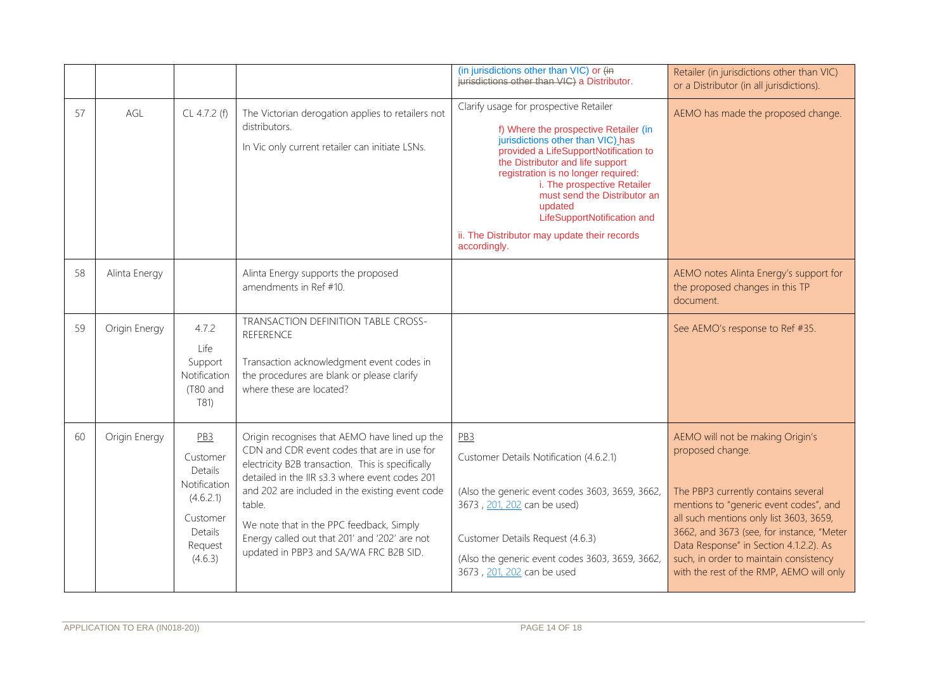|    |               |                                                                                                                  |                                                                                                                                                                                                                                                                                                                                                                                                         | (in jurisdictions other than VIC) or (in<br>jurisdictions other than VIC) a Distributor.                                                                                                                                                                                                                                                                                                                          | Retailer (in jurisdictions other than VIC)<br>or a Distributor (in all jurisdictions).                                                                                                                                                                                                                                                                        |
|----|---------------|------------------------------------------------------------------------------------------------------------------|---------------------------------------------------------------------------------------------------------------------------------------------------------------------------------------------------------------------------------------------------------------------------------------------------------------------------------------------------------------------------------------------------------|-------------------------------------------------------------------------------------------------------------------------------------------------------------------------------------------------------------------------------------------------------------------------------------------------------------------------------------------------------------------------------------------------------------------|---------------------------------------------------------------------------------------------------------------------------------------------------------------------------------------------------------------------------------------------------------------------------------------------------------------------------------------------------------------|
| 57 | AGL           | CL 4.7.2 (f)                                                                                                     | The Victorian derogation applies to retailers not<br>distributors.<br>In Vic only current retailer can initiate LSNs.                                                                                                                                                                                                                                                                                   | Clarify usage for prospective Retailer<br>f) Where the prospective Retailer (in<br>jurisdictions other than VIC) has<br>provided a LifeSupportNotification to<br>the Distributor and life support<br>registration is no longer required:<br>i. The prospective Retailer<br>must send the Distributor an<br>updated<br>LifeSupportNotification and<br>ii. The Distributor may update their records<br>accordingly. | AEMO has made the proposed change.                                                                                                                                                                                                                                                                                                                            |
| 58 | Alinta Energy |                                                                                                                  | Alinta Energy supports the proposed<br>amendments in Ref #10.                                                                                                                                                                                                                                                                                                                                           |                                                                                                                                                                                                                                                                                                                                                                                                                   | AEMO notes Alinta Energy's support for<br>the proposed changes in this TP<br>document.                                                                                                                                                                                                                                                                        |
| 59 | Origin Energy | 4.7.2<br>Life<br>Support<br>Notification<br>(T80 and<br>T81)                                                     | TRANSACTION DEFINITION TABLE CROSS-<br>REFERENCE<br>Transaction acknowledgment event codes in<br>the procedures are blank or please clarify<br>where these are located?                                                                                                                                                                                                                                 |                                                                                                                                                                                                                                                                                                                                                                                                                   | See AEMO's response to Ref #35.                                                                                                                                                                                                                                                                                                                               |
| 60 | Origin Energy | PB <sub>3</sub><br>Customer<br>Details<br>Notification<br>(4.6.2.1)<br>Customer<br>Details<br>Request<br>(4.6.3) | Origin recognises that AEMO have lined up the<br>CDN and CDR event codes that are in use for<br>electricity B2B transaction. This is specifically<br>detailed in the IIR s3.3 where event codes 201<br>and 202 are included in the existing event code<br>table.<br>We note that in the PPC feedback, Simply<br>Energy called out that 201' and '202' are not<br>updated in PBP3 and SA/WA FRC B2B SID. | PB <sub>3</sub><br>Customer Details Notification (4.6.2.1)<br>(Also the generic event codes 3603, 3659, 3662,<br>3673, 201, 202 can be used)<br>Customer Details Request (4.6.3)<br>(Also the generic event codes 3603, 3659, 3662,<br>3673, 201, 202 can be used                                                                                                                                                 | AEMO will not be making Origin's<br>proposed change.<br>The PBP3 currently contains several<br>mentions to "generic event codes", and<br>all such mentions only list 3603, 3659,<br>3662, and 3673 (see, for instance, "Meter<br>Data Response" in Section 4.1.2.2). As<br>such, in order to maintain consistency<br>with the rest of the RMP, AEMO will only |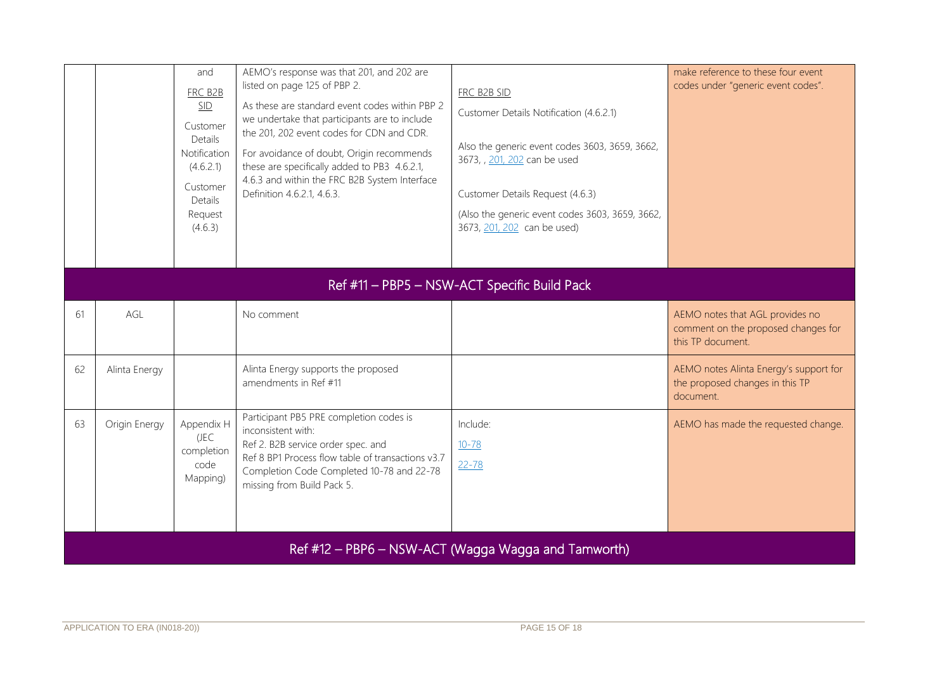|    |                                                     | and<br>FRC B2B<br>SID<br>Customer<br>Details<br>Notification<br>(4.6.2.1)<br>Customer<br>Details<br>Request<br>(4.6.3) | AEMO's response was that 201, and 202 are<br>listed on page 125 of PBP 2.<br>As these are standard event codes within PBP 2<br>we undertake that participants are to include<br>the 201, 202 event codes for CDN and CDR.<br>For avoidance of doubt, Origin recommends<br>these are specifically added to PB3 4.6.2.1,<br>4.6.3 and within the FRC B2B System Interface<br>Definition 4.6.2.1, 4.6.3. | FRC B2B SID<br>Customer Details Notification (4.6.2.1)<br>Also the generic event codes 3603, 3659, 3662,<br>3673, , 201, 202 can be used<br>Customer Details Request (4.6.3)<br>(Also the generic event codes 3603, 3659, 3662,<br>3673, 201, 202 can be used) | make reference to these four event<br>codes under "generic event codes".                    |  |  |
|----|-----------------------------------------------------|------------------------------------------------------------------------------------------------------------------------|-------------------------------------------------------------------------------------------------------------------------------------------------------------------------------------------------------------------------------------------------------------------------------------------------------------------------------------------------------------------------------------------------------|----------------------------------------------------------------------------------------------------------------------------------------------------------------------------------------------------------------------------------------------------------------|---------------------------------------------------------------------------------------------|--|--|
|    | Ref #11 - PBP5 - NSW-ACT Specific Build Pack        |                                                                                                                        |                                                                                                                                                                                                                                                                                                                                                                                                       |                                                                                                                                                                                                                                                                |                                                                                             |  |  |
| 61 | AGL                                                 |                                                                                                                        | No comment                                                                                                                                                                                                                                                                                                                                                                                            |                                                                                                                                                                                                                                                                | AEMO notes that AGL provides no<br>comment on the proposed changes for<br>this TP document. |  |  |
| 62 | Alinta Energy                                       |                                                                                                                        | Alinta Energy supports the proposed<br>amendments in Ref #11                                                                                                                                                                                                                                                                                                                                          |                                                                                                                                                                                                                                                                | AEMO notes Alinta Energy's support for<br>the proposed changes in this TP<br>document.      |  |  |
| 63 | Origin Energy                                       | Appendix H<br>(JEC<br>completion<br>code<br>Mapping)                                                                   | Participant PB5 PRE completion codes is<br>inconsistent with:<br>Ref 2. B2B service order spec. and<br>Ref 8 BP1 Process flow table of transactions v3.7<br>Completion Code Completed 10-78 and 22-78<br>missing from Build Pack 5.                                                                                                                                                                   | Include:<br>$10 - 78$<br>$22 - 78$                                                                                                                                                                                                                             | AEMO has made the requested change.                                                         |  |  |
|    | Ref #12 - PBP6 - NSW-ACT (Wagga Wagga and Tamworth) |                                                                                                                        |                                                                                                                                                                                                                                                                                                                                                                                                       |                                                                                                                                                                                                                                                                |                                                                                             |  |  |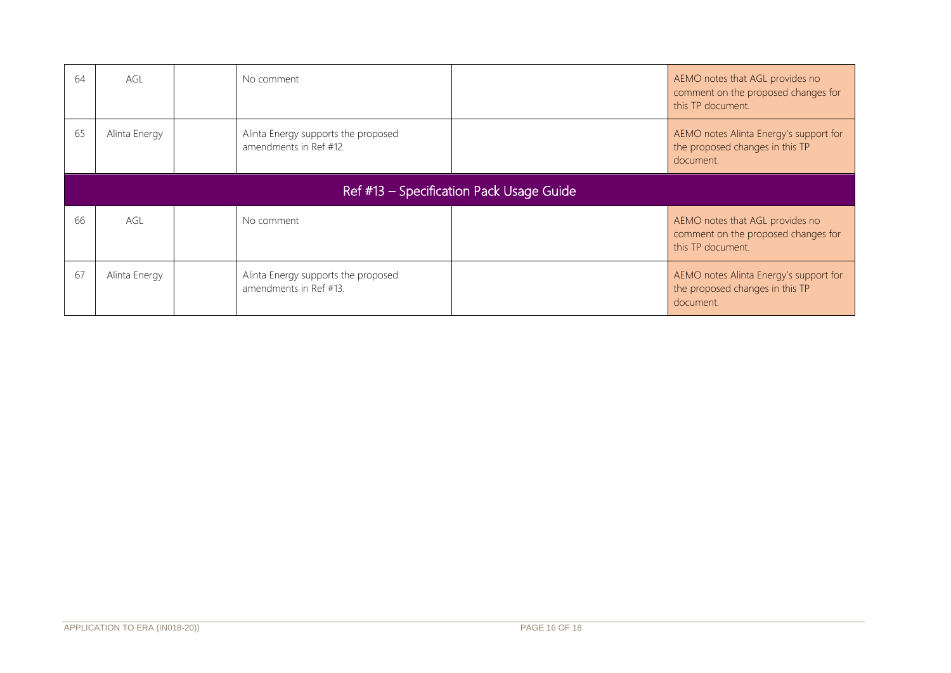| 64                                       | AGL           |  | No comment                                                    |  | AEMO notes that AGL provides no<br>comment on the proposed changes for<br>this TP document. |
|------------------------------------------|---------------|--|---------------------------------------------------------------|--|---------------------------------------------------------------------------------------------|
| 65                                       | Alinta Energy |  | Alinta Energy supports the proposed<br>amendments in Ref #12. |  | AEMO notes Alinta Energy's support for<br>the proposed changes in this TP<br>document.      |
| Ref #13 - Specification Pack Usage Guide |               |  |                                                               |  |                                                                                             |
| 66                                       | AGL           |  | No comment                                                    |  | AEMO notes that AGL provides no<br>comment on the proposed changes for<br>this TP document. |
| -67                                      | Alinta Energy |  | Alinta Energy supports the proposed<br>amendments in Ref #13. |  | AEMO notes Alinta Energy's support for<br>the proposed changes in this TP<br>document.      |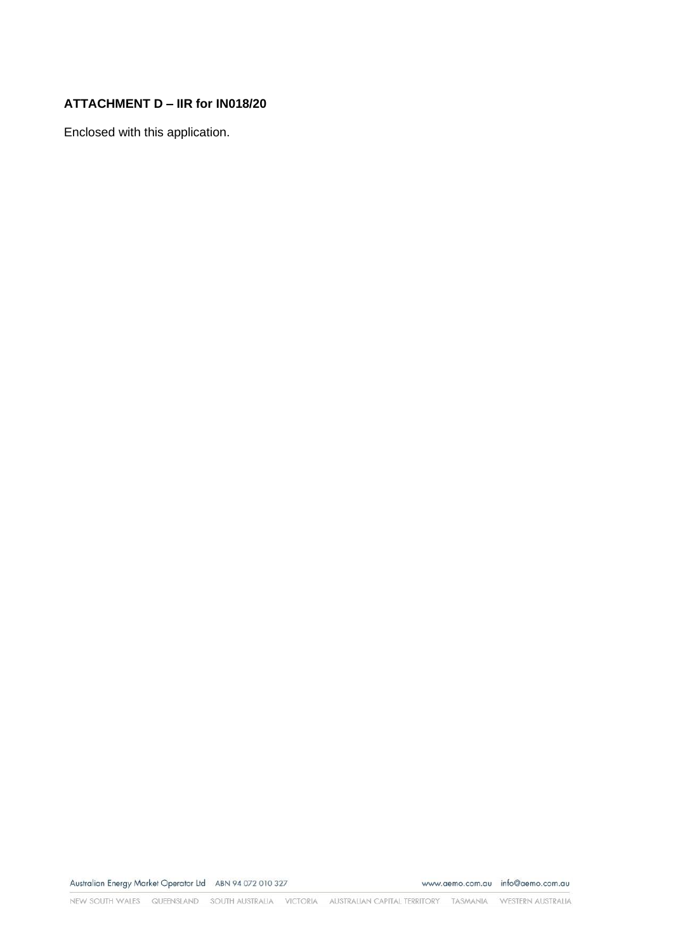## **ATTACHMENT D – IIR for IN018/20**

Enclosed with this application.

Australian Energy Market Operator Ltd ABN 94 072 010 327

www.aemo.com.au info@aemo.com.au